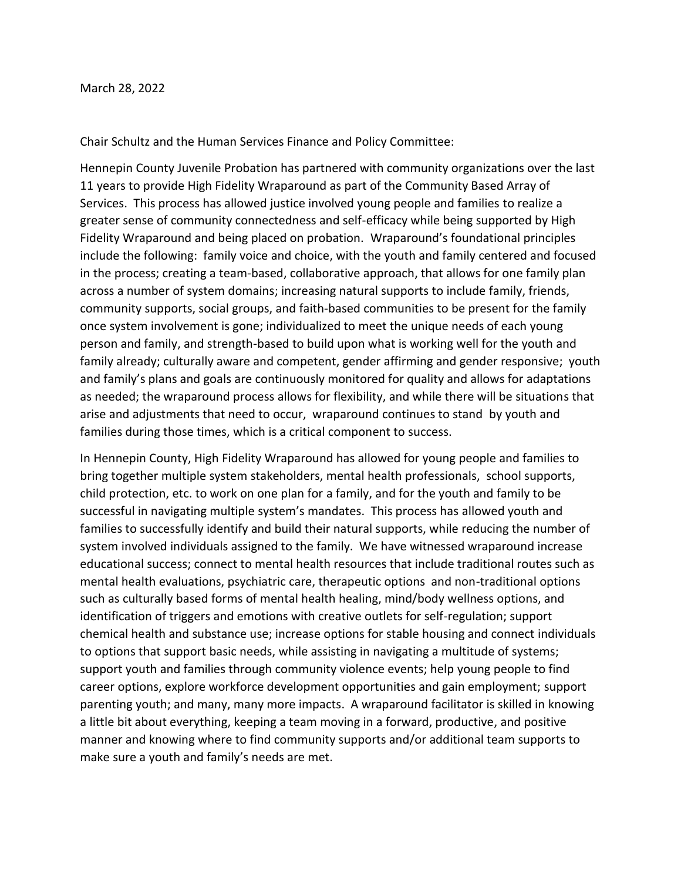Chair Schultz and the Human Services Finance and Policy Committee:

Hennepin County Juvenile Probation has partnered with community organizations over the last 11 years to provide High Fidelity Wraparound as part of the Community Based Array of Services. This process has allowed justice involved young people and families to realize a greater sense of community connectedness and self-efficacy while being supported by High Fidelity Wraparound and being placed on probation. Wraparound's foundational principles include the following: family voice and choice, with the youth and family centered and focused in the process; creating a team-based, collaborative approach, that allows for one family plan across a number of system domains; increasing natural supports to include family, friends, community supports, social groups, and faith-based communities to be present for the family once system involvement is gone; individualized to meet the unique needs of each young person and family, and strength-based to build upon what is working well for the youth and family already; culturally aware and competent, gender affirming and gender responsive; youth and family's plans and goals are continuously monitored for quality and allows for adaptations as needed; the wraparound process allows for flexibility, and while there will be situations that arise and adjustments that need to occur, wraparound continues to stand by youth and families during those times, which is a critical component to success.

In Hennepin County, High Fidelity Wraparound has allowed for young people and families to bring together multiple system stakeholders, mental health professionals, school supports, child protection, etc. to work on one plan for a family, and for the youth and family to be successful in navigating multiple system's mandates. This process has allowed youth and families to successfully identify and build their natural supports, while reducing the number of system involved individuals assigned to the family. We have witnessed wraparound increase educational success; connect to mental health resources that include traditional routes such as mental health evaluations, psychiatric care, therapeutic options and non-traditional options such as culturally based forms of mental health healing, mind/body wellness options, and identification of triggers and emotions with creative outlets for self-regulation; support chemical health and substance use; increase options for stable housing and connect individuals to options that support basic needs, while assisting in navigating a multitude of systems; support youth and families through community violence events; help young people to find career options, explore workforce development opportunities and gain employment; support parenting youth; and many, many more impacts. A wraparound facilitator is skilled in knowing a little bit about everything, keeping a team moving in a forward, productive, and positive manner and knowing where to find community supports and/or additional team supports to make sure a youth and family's needs are met.